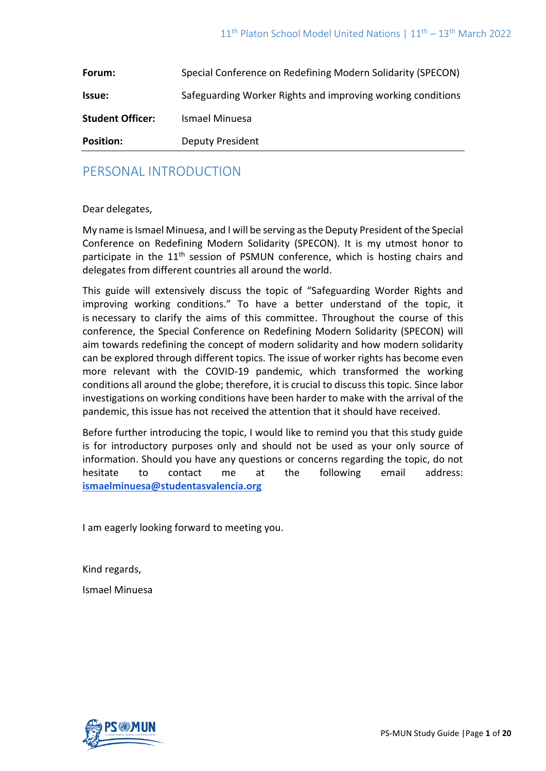| Forum:                  | Special Conference on Redefining Modern Solidarity (SPECON) |
|-------------------------|-------------------------------------------------------------|
| Issue:                  | Safeguarding Worker Rights and improving working conditions |
| <b>Student Officer:</b> | Ismael Minuesa                                              |
| <b>Position:</b>        | <b>Deputy President</b>                                     |

## PERSONAL INTRODUCTION

#### Dear delegates,

My name is Ismael Minuesa, and I will be serving as the Deputy President of the Special Conference on Redefining Modern Solidarity (SPECON). It is my utmost honor to participate in the 11<sup>th</sup> session of PSMUN conference, which is hosting chairs and delegates from different countries all around the world.

This guide will extensively discuss the topic of "Safeguarding Worder Rights and improving working conditions." To have a better understand of the topic, it is necessary to clarify the aims of this committee. Throughout the course of this conference, the Special Conference on Redefining Modern Solidarity (SPECON) will aim towards redefining the concept of modern solidarity and how modern solidarity can be explored through different topics. The issue of worker rights has become even more relevant with the COVID-19 pandemic, which transformed the working conditions all around the globe; therefore, it is crucial to discuss this topic. Since labor investigations on working conditions have been harder to make with the arrival of the pandemic, this issue has not received the attention that it should have received.

Before further introducing the topic, I would like to remind you that this study guide is for introductory purposes only and should not be used as your only source of information. Should you have any questions or concerns regarding the topic, do not hesitate to contact me at the following email address: **[ismaelminuesa@studentasvalencia.org](mailto:ismaelminuesa@studentasvalencia.org)**

I am eagerly looking forward to meeting you.

Kind regards,

Ismael Minuesa

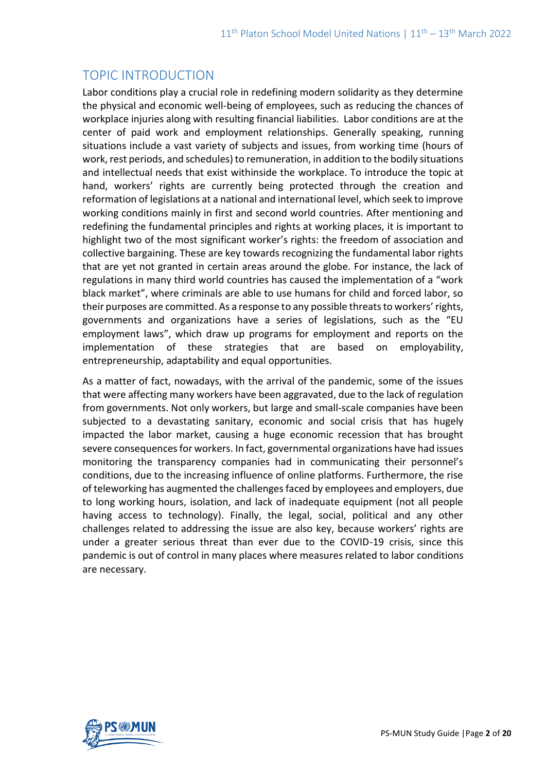# TOPIC INTRODUCTION

Labor conditions play a crucial role in redefining modern solidarity as they determine the physical and economic well-being of employees, such as reducing the chances of workplace injuries along with resulting financial liabilities. Labor conditions are at the center of paid work and employment relationships. Generally speaking, running situations include a vast variety of subjects and issues, from working time (hours of work, rest periods, and schedules) to remuneration, in addition to the bodily situations and intellectual needs that exist withinside the workplace. To introduce the topic at hand, workers' rights are currently being protected through the creation and reformation of legislations at a national and international level, which seek to improve working conditions mainly in first and second world countries. After mentioning and redefining the fundamental principles and rights at working places, it is important to highlight two of the most significant worker's rights: the freedom of association and collective bargaining. These are key towards recognizing the fundamental labor rights that are yet not granted in certain areas around the globe. For instance, the lack of regulations in many third world countries has caused the implementation of a "work black market", where criminals are able to use humans for child and forced labor, so their purposes are committed. As a response to any possible threats to workers' rights, governments and organizations have a series of legislations, such as the "EU employment laws", which draw up programs for employment and reports on the implementation of these strategies that are based on employability, entrepreneurship, adaptability and equal opportunities.

As a matter of fact, nowadays, with the arrival of the pandemic, some of the issues that were affecting many workers have been aggravated, due to the lack of regulation from governments. Not only workers, but large and small-scale companies have been subjected to a devastating sanitary, economic and social crisis that has hugely impacted the labor market, causing a huge economic recession that has brought severe consequences for workers. In fact, governmental organizations have had issues monitoring the transparency companies had in communicating their personnel's conditions, due to the increasing influence of online platforms. Furthermore, the rise of teleworking has augmented the challenges faced by employees and employers, due to long working hours, isolation, and lack of inadequate equipment (not all people having access to technology). Finally, the legal, social, political and any other challenges related to addressing the issue are also key, because workers' rights are under a greater serious threat than ever due to the COVID-19 crisis, since this pandemic is out of control in many places where measures related to labor conditions are necessary.

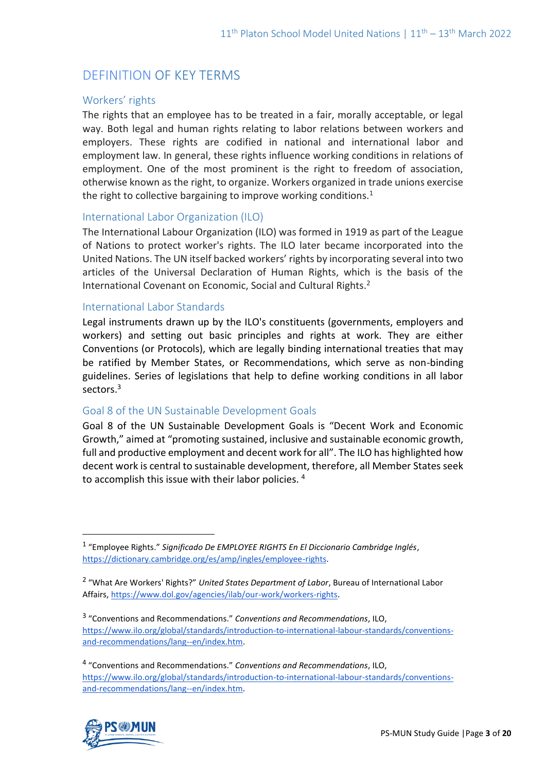# DEFINITION OF KEY TERMS

### Workers' rights

The rights that an employee has to be treated in a fair, morally acceptable, or legal way. Both legal and human rights relating to labor relations between [workers](https://en.wikipedia.org/wiki/Workers) and employers. These rights are codified in national and international labor and employment law. In general, these rights influence working conditions in relations of employment. One of the most prominent is the right to freedom of association, otherwise known as the right, to organize. Workers organized in trade unions exercise the right to collective bargaining to improve working conditions.<sup>1</sup>

#### International Labor Organization (ILO)

The International Labour Organization (ILO) was formed in 1919 as part of the League of Nations to protect worker's rights. The ILO later became incorporated into the United Nations. The UN itself backed workers' rights by incorporating several into two articles of the Universal Declaration of Human Rights, which is the basis of the International Covenant on Economic, Social and Cultural Rights.<sup>2</sup>

#### International Labor Standards

Legal instruments drawn up by the ILO's constituents (governments, employers and workers) and setting out basic principles and rights at work. They are either Conventions (or Protocols), which are legally binding international treaties that may be ratified by Member States, or Recommendations, which serve as non-binding guidelines. Series of legislations that help to define working conditions in all labor sectors.<sup>3</sup>

#### Goal 8 of the UN Sustainable Development Goals

Goal 8 of the UN Sustainable Development Goals is "Decent Work and Economic Growth," aimed at "promoting sustained, inclusive and sustainable economic growth, full and productive employment and decent work for all". The ILO has highlighted how decent work is central to sustainable development, therefore, all Member States seek to accomplish this issue with their labor policies. <sup>4</sup>

<sup>4</sup> "Conventions and Recommendations." *Conventions and Recommendations*, ILO, [https://www.ilo.org/global/standards/introduction-to-international-labour-standards/conventions](https://www.ilo.org/global/standards/introduction-to-international-labour-standards/conventions-and-recommendations/lang--en/index.htm)[and-recommendations/lang--en/index.htm.](https://www.ilo.org/global/standards/introduction-to-international-labour-standards/conventions-and-recommendations/lang--en/index.htm)



<sup>1</sup> "Employee Rights." *Significado De EMPLOYEE RIGHTS En El Diccionario Cambridge Inglés*, [https://dictionary.cambridge.org/es/amp/ingles/employee-rights.](https://dictionary.cambridge.org/es/amp/ingles/employee-rights)

<sup>2</sup> "What Are Workers' Rights?" *United States Department of Labor*, Bureau of International Labor Affairs, [https://www.dol.gov/agencies/ilab/our-work/workers-rights.](https://www.dol.gov/agencies/ilab/our-work/workers-rights)

<sup>3</sup> "Conventions and Recommendations." *Conventions and Recommendations*, ILO, [https://www.ilo.org/global/standards/introduction-to-international-labour-standards/conventions](https://www.ilo.org/global/standards/introduction-to-international-labour-standards/conventions-and-recommendations/lang--en/index.htm)[and-recommendations/lang--en/index.htm.](https://www.ilo.org/global/standards/introduction-to-international-labour-standards/conventions-and-recommendations/lang--en/index.htm)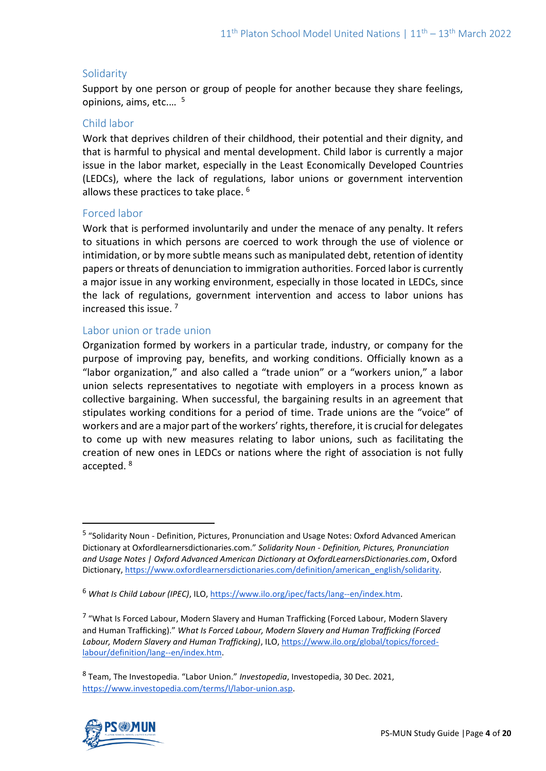### **Solidarity**

Support by one person or group of people for another because they share feelings, opinions, aims, etc.… 5

#### Child labor

Work that deprives children of their childhood, their potential and their dignity, and that is harmful to physical and mental development. Child labor is currently a major issue in the labor market, especially in the Least Economically Developed Countries (LEDCs), where the lack of regulations, labor unions or government intervention allows these practices to take place. <sup>6</sup>

#### Forced labor

Work that is performed involuntarily and under the menace of any penalty. It refers to situations in which persons are coerced to work through the use of violence or intimidation, or by more subtle means such as manipulated debt, retention of identity papers or threats of denunciation to immigration authorities. Forced labor is currently a major issue in any working environment, especially in those located in LEDCs, since the lack of regulations, government intervention and access to labor unions has increased this issue. <sup>7</sup>

### Labor union or trade union

Organization formed by workers in a particular trade, industry, or company for the purpose of improving pay, benefits, and working conditions. Officially known as a "labor organization," and also called a "trade union" or a "workers union," a labor union selects representatives to negotiate with employers in a process known as collective bargaining. When successful, the bargaining results in an agreement that stipulates working conditions for a period of time. Trade unions are the "voice" of workers and are a major part of the workers' rights, therefore, it is crucial for delegates to come up with new measures relating to labor unions, such as facilitating the creation of new ones in LEDCs or nations where the right of association is not fully accepted. <sup>8</sup>

<sup>8</sup> Team, The Investopedia. "Labor Union." *Investopedia*, Investopedia, 30 Dec. 2021, [https://www.investopedia.com/terms/l/labor-union.asp.](https://www.investopedia.com/terms/l/labor-union.asp)



<sup>&</sup>lt;sup>5</sup> "Solidarity Noun - Definition, Pictures, Pronunciation and Usage Notes: Oxford Advanced American Dictionary at Oxfordlearnersdictionaries.com." *Solidarity Noun - Definition, Pictures, Pronunciation and Usage Notes | Oxford Advanced American Dictionary at OxfordLearnersDictionaries.com*, Oxford Dictionary[, https://www.oxfordlearnersdictionaries.com/definition/american\\_english/solidarity.](https://www.oxfordlearnersdictionaries.com/definition/american_english/solidarity)

<sup>6</sup> *What Is Child Labour (IPEC)*, ILO[, https://www.ilo.org/ipec/facts/lang--en/index.htm.](https://www.ilo.org/ipec/facts/lang--en/index.htm)

<sup>&</sup>lt;sup>7</sup> "What Is Forced Labour, Modern Slavery and Human Trafficking (Forced Labour, Modern Slavery and Human Trafficking)." *What Is Forced Labour, Modern Slavery and Human Trafficking (Forced Labour, Modern Slavery and Human Trafficking)*, ILO, [https://www.ilo.org/global/topics/forced](https://www.ilo.org/global/topics/forced-labour/definition/lang--en/index.htm)[labour/definition/lang--en/index.htm.](https://www.ilo.org/global/topics/forced-labour/definition/lang--en/index.htm)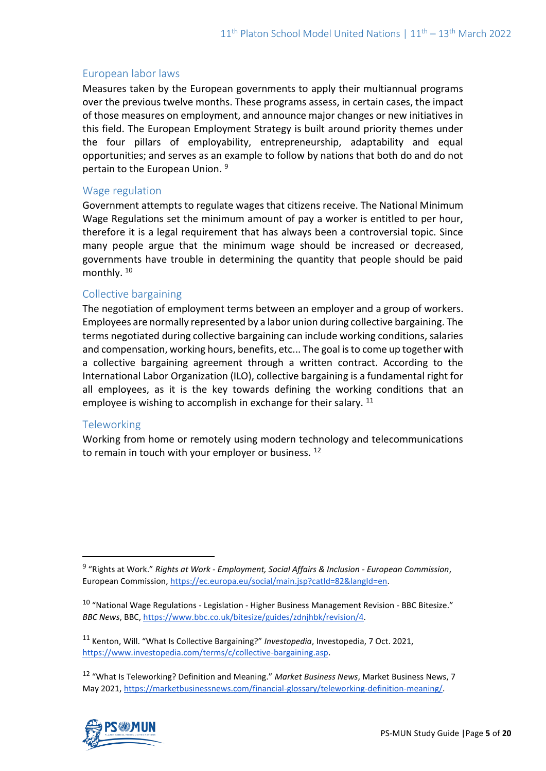#### European labor laws

Measures taken by the European governments to apply their multiannual programs over the previous twelve months. These programs assess, in certain cases, the impact of those measures on employment, and announce major changes or new initiatives in this field. The European Employment Strategy is built around priority themes under the four pillars of employability, entrepreneurship, adaptability and equal opportunities; and serves as an example to follow by nations that both do and do not pertain to the European Union.<sup>9</sup>

#### Wage regulation

Government attempts to regulate wages that citizens receive. The National Minimum Wage Regulations set the minimum amount of pay a worker is entitled to per hour, therefore it is a legal requirement that has always been a controversial topic. Since many people argue that the minimum wage should be increased or decreased, governments have trouble in determining the quantity that people should be paid monthly. <sup>10</sup>

#### Collective bargaining

The negotiation of employment terms between an employer and a group of workers. Employees are normally represented by a labor union during collective bargaining. The terms negotiated during collective bargaining can include working conditions, salaries and compensation, working hours, benefits, etc... The goal is to come up together with a collective bargaining agreement through a written contract. According to the International Labor Organization (ILO), collective bargaining is a fundamental right for all employees, as it is the key towards defining the working conditions that an employee is wishing to accomplish in exchange for their salary.  $11$ 

#### **Teleworking**

Working from home or remotely using modern technology and telecommunications to remain in touch with your employer or business.  $12$ 

<sup>12</sup> "What Is Teleworking? Definition and Meaning." *Market Business News*, Market Business News, 7 May 2021, [https://marketbusinessnews.com/financial-glossary/teleworking-definition-meaning/.](https://marketbusinessnews.com/financial-glossary/teleworking-definition-meaning/)



<sup>9</sup> "Rights at Work." *Rights at Work - Employment, Social Affairs & Inclusion - European Commission*, European Commission[, https://ec.europa.eu/social/main.jsp?catId=82&langId=en.](https://ec.europa.eu/social/main.jsp?catId=82&langId=en)

 $10$  "National Wage Regulations - Legislation - Higher Business Management Revision - BBC Bitesize." *BBC News*, BBC, [https://www.bbc.co.uk/bitesize/guides/zdnjhbk/revision/4.](https://www.bbc.co.uk/bitesize/guides/zdnjhbk/revision/4)

<sup>11</sup> Kenton, Will. "What Is Collective Bargaining?" *Investopedia*, Investopedia, 7 Oct. 2021, [https://www.investopedia.com/terms/c/collective-bargaining.asp.](https://www.investopedia.com/terms/c/collective-bargaining.asp)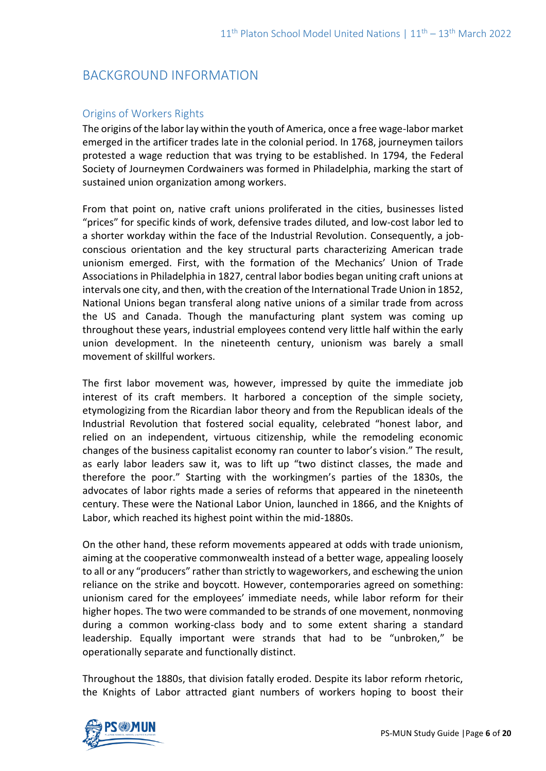## BACKGROUND INFORMATION

## Origins of Workers Rights

The origins of the labor lay within the youth of America, once a free wage-labor market emerged in the artificer trades late in the colonial period. In 1768, journeymen tailors protested a wage reduction that was trying to be established. In 1794, the Federal Society of Journeymen Cordwainers was formed in Philadelphia, marking the start of sustained union organization among workers.

From that point on, native craft unions proliferated in the cities, businesses listed "prices" for specific kinds of work, defensive trades diluted, and low-cost labor led to a shorter workday within the face of the Industrial Revolution. Consequently, a jobconscious orientation and the key structural parts characterizing American trade unionism emerged. First, with the formation of the Mechanics' Union of Trade Associations in Philadelphia in 1827, central labor bodies began uniting craft unions at intervals one city, and then, with the creation of the International Trade Union in 1852, National Unions began transferal along native unions of a similar trade from across the US and Canada. Though the manufacturing plant system was coming up throughout these years, industrial employees contend very little half within the early union development. In the nineteenth century, unionism was barely a small movement of skillful workers.

The first labor movement was, however, impressed by quite the immediate job interest of its craft members. It harbored a conception of the simple society, etymologizing from the Ricardian labor theory and from the Republican ideals of the Industrial Revolution that fostered social equality, celebrated "honest labor, and relied on an independent, virtuous citizenship, while the remodeling economic changes of the business capitalist economy ran counter to labor's vision." The result, as early labor leaders saw it, was to lift up "two distinct classes, the made and therefore the poor." Starting with the workingmen's parties of the 1830s, the advocates of labor rights made a series of reforms that appeared in the nineteenth century. These were the National Labor Union, launched in 1866, and the Knights of Labor, which reached its highest point within the mid-1880s.

On the other hand, these reform movements appeared at odds with trade unionism, aiming at the cooperative commonwealth instead of a better wage, appealing loosely to all or any "producers" rather than strictly to wageworkers, and eschewing the union reliance on the strike and boycott. However, contemporaries agreed on something: unionism cared for the employees' immediate needs, while labor reform for their higher hopes. The two were commanded to be strands of one movement, nonmoving during a common working-class body and to some extent sharing a standard leadership. Equally important were strands that had to be "unbroken," be operationally separate and functionally distinct.

Throughout the 1880s, that division fatally eroded. Despite its labor reform rhetoric, the Knights of Labor attracted giant numbers of workers hoping to boost their

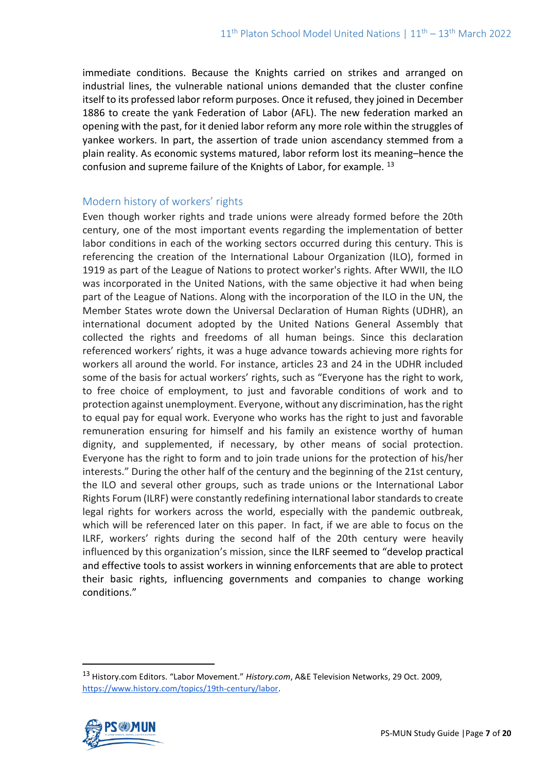immediate conditions. Because the Knights carried on strikes and arranged on industrial lines, the vulnerable national unions demanded that the cluster confine itself to its professed labor reform purposes. Once it refused, they joined in December 1886 to create the yank Federation of Labor (AFL). The new federation marked an opening with the past, for it denied labor reform any more role within the struggles of yankee workers. In part, the assertion of trade union ascendancy stemmed from a plain reality. As economic systems matured, labor reform lost its meaning–hence the confusion and supreme failure of the Knights of Labor, for example. <sup>13</sup>

## Modern history of workers' rights

Even though worker rights and trade unions were already formed before the 20th century, one of the most important events regarding the implementation of better labor conditions in each of the working sectors occurred during this century. This is referencing the creation of the International Labour Organization (ILO), formed in 1919 as part of the League of Nations to protect worker's rights. After WWII, the ILO was incorporated in the United Nations, with the same objective it had when being part of the League of Nations. Along with the incorporation of the ILO in the UN, the Member States wrote down the Universal Declaration of Human Rights (UDHR), an international document adopted by the United Nations General Assembly that collected the rights and freedoms of all human beings. Since this declaration referenced workers' rights, it was a huge advance towards achieving more rights for workers all around the world. For instance, articles 23 and 24 in the UDHR included some of the basis for actual workers' rights, such as "Everyone has the right to work, to free choice of employment, to just and favorable conditions of work and to protection against unemployment. Everyone, without any discrimination, has the right to equal pay for equal work. Everyone who works has the right to just and favorable remuneration ensuring for himself and his family an existence worthy of human dignity, and supplemented, if necessary, by other means of social protection. Everyone has the right to form and to join trade unions for the protection of his/her interests." During the other half of the century and the beginning of the 21st century, the ILO and several other groups, such as trade unions or the International Labor Rights Forum (ILRF) were constantly redefining international labor standards to create legal rights for workers across the world, especially with the pandemic outbreak, which will be referenced later on this paper. In fact, if we are able to focus on the ILRF, workers' rights during the second half of the 20th century were heavily influenced by this organization's mission, since the ILRF seemed to "develop practical and effective tools to assist workers in winning enforcements that are able to protect their basic rights, influencing governments and companies to change working conditions."

<sup>13</sup> History.com Editors. "Labor Movement." *History.com*, A&E Television Networks, 29 Oct. 2009, [https://www.history.com/topics/19th-century/labor.](https://www.history.com/topics/19th-century/labor)

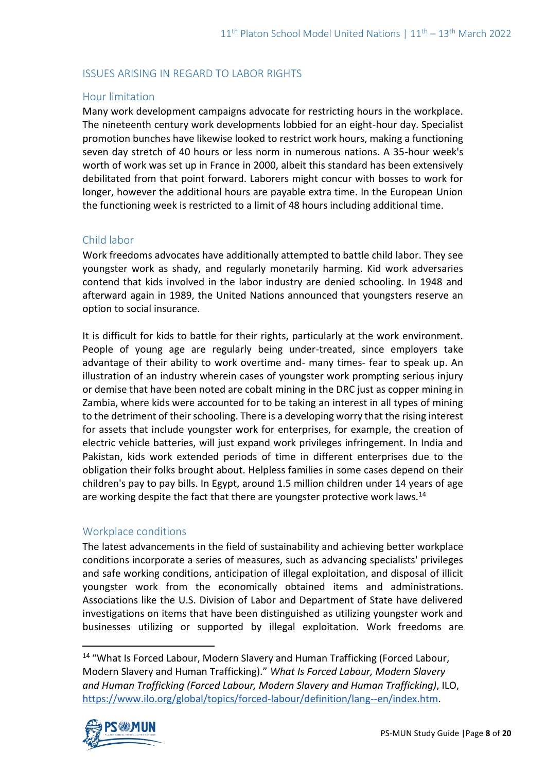## ISSUES ARISING IN REGARD TO LABOR RIGHTS

### Hour limitation

Many work development campaigns advocate for restricting hours in the workplace. The nineteenth century work developments lobbied for an eight-hour day. Specialist promotion bunches have likewise looked to restrict work hours, making a functioning seven day stretch of 40 hours or less norm in numerous nations. A 35-hour week's worth of work was set up in France in 2000, albeit this standard has been extensively debilitated from that point forward. Laborers might concur with bosses to work for longer, however the additional hours are payable extra time. In the European Union the functioning week is restricted to a limit of 48 hours including additional time.

#### Child labor

Work freedoms advocates have additionally attempted to battle child labor. They see youngster work as shady, and regularly monetarily harming. Kid work adversaries contend that kids involved in the labor industry are denied schooling. In 1948 and afterward again in 1989, the United Nations announced that youngsters reserve an option to social insurance.

It is difficult for kids to battle for their rights, particularly at the work environment. People of young age are regularly being under-treated, since employers take advantage of their ability to work overtime and- many times- fear to speak up. An illustration of an industry wherein cases of youngster work prompting serious injury or demise that have been noted are cobalt mining in the DRC just as copper mining in Zambia, where kids were accounted for to be taking an interest in all types of mining to the detriment of their schooling. There is a developing worry that the rising interest for assets that include youngster work for enterprises, for example, the creation of electric vehicle batteries, will just expand work privileges infringement. In India and Pakistan, kids work extended periods of time in different enterprises due to the obligation their folks brought about. Helpless families in some cases depend on their children's pay to pay bills. In Egypt, around 1.5 million children under 14 years of age are working despite the fact that there are youngster protective work laws.<sup>14</sup>

## Workplace conditions

The latest advancements in the field of sustainability and achieving better workplace conditions incorporate a series of measures, such as advancing specialists' privileges and safe working conditions, anticipation of illegal exploitation, and disposal of illicit youngster work from the economically obtained items and administrations. Associations like the U.S. Division of Labor and Department of State have delivered investigations on items that have been distinguished as utilizing youngster work and businesses utilizing or supported by illegal exploitation. Work freedoms are

<sup>&</sup>lt;sup>14</sup> "What Is Forced Labour, Modern Slavery and Human Trafficking (Forced Labour, Modern Slavery and Human Trafficking)." *What Is Forced Labour, Modern Slavery and Human Trafficking (Forced Labour, Modern Slavery and Human Trafficking)*, ILO, [https://www.ilo.org/global/topics/forced-labour/definition/lang--en/index.htm.](https://www.ilo.org/global/topics/forced-labour/definition/lang--en/index.htm)

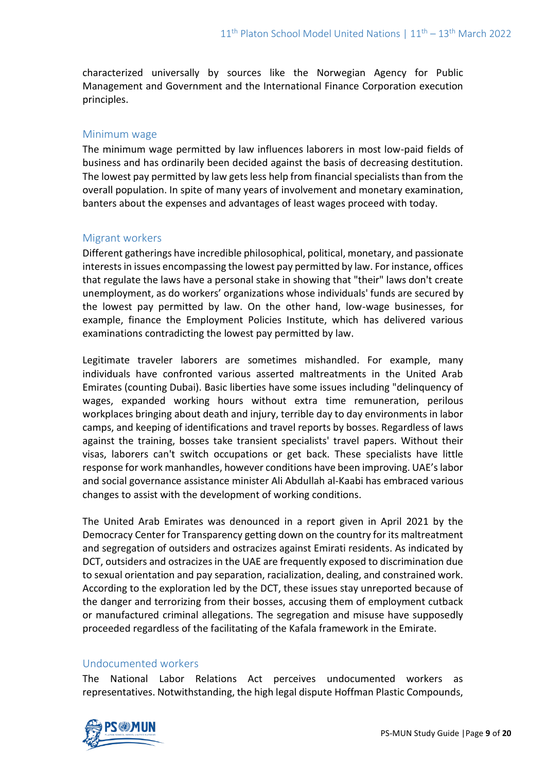characterized universally by sources like the Norwegian Agency for Public Management and Government and the International Finance Corporation execution principles.

#### Minimum wage

The minimum wage permitted by law influences laborers in most low-paid fields of business and has ordinarily been decided against the basis of decreasing destitution. The lowest pay permitted by law gets less help from financial specialists than from the overall population. In spite of many years of involvement and monetary examination, banters about the expenses and advantages of least wages proceed with today.

#### Migrant workers

Different gatherings have incredible philosophical, political, monetary, and passionate interests in issues encompassing the lowest pay permitted by law. For instance, offices that regulate the laws have a personal stake in showing that "their" laws don't create unemployment, as do workers' organizations whose individuals' funds are secured by the lowest pay permitted by law. On the other hand, low-wage businesses, for example, finance the Employment Policies Institute, which has delivered various examinations contradicting the lowest pay permitted by law.

Legitimate traveler laborers are sometimes mishandled. For example, many individuals have confronted various asserted maltreatments in the United Arab Emirates (counting Dubai). Basic liberties have some issues including "delinquency of wages, expanded working hours without extra time remuneration, perilous workplaces bringing about death and injury, terrible day to day environments in labor camps, and keeping of identifications and travel reports by bosses. Regardless of laws against the training, bosses take transient specialists' travel papers. Without their visas, laborers can't switch occupations or get back. These specialists have little response for work manhandles, however conditions have been improving. UAE's labor and social governance assistance minister Ali Abdullah al-Kaabi has embraced various changes to assist with the development of working conditions.

The United Arab Emirates was denounced in a report given in April 2021 by the Democracy Center for Transparency getting down on the country for its maltreatment and segregation of outsiders and ostracizes against Emirati residents. As indicated by DCT, outsiders and ostracizes in the UAE are frequently exposed to discrimination due to sexual orientation and pay separation, racialization, dealing, and constrained work. According to the exploration led by the DCT, these issues stay unreported because of the danger and terrorizing from their bosses, accusing them of employment cutback or manufactured criminal allegations. The segregation and misuse have supposedly proceeded regardless of the facilitating of the Kafala framework in the Emirate.

#### Undocumented workers

The National Labor Relations Act perceives undocumented workers as representatives. Notwithstanding, the high legal dispute Hoffman Plastic Compounds,

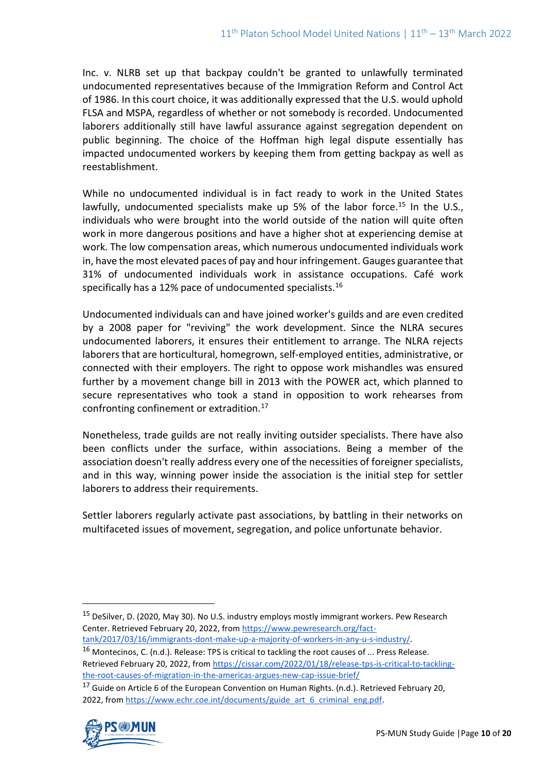Inc. v. NLRB set up that backpay couldn't be granted to unlawfully terminated undocumented representatives because of the Immigration Reform and Control Act of 1986. In this court choice, it was additionally expressed that the U.S. would uphold FLSA and MSPA, regardless of whether or not somebody is recorded. Undocumented laborers additionally still have lawful assurance against segregation dependent on public beginning. The choice of the Hoffman high legal dispute essentially has impacted undocumented workers by keeping them from getting backpay as well as reestablishment.

While no undocumented individual is in fact ready to work in the United States lawfully, undocumented specialists make up 5% of the labor force.<sup>15</sup> In the U.S., individuals who were brought into the world outside of the nation will quite often work in more dangerous positions and have a higher shot at experiencing demise at work. The low compensation areas, which numerous undocumented individuals work in, have the most elevated paces of pay and hour infringement. Gauges guarantee that 31% of undocumented individuals work in assistance occupations. Café work specifically has a 12% pace of undocumented specialists.<sup>16</sup>

Undocumented individuals can and have joined worker's guilds and are even credited by a 2008 paper for "reviving" the work development. Since the NLRA secures undocumented laborers, it ensures their entitlement to arrange. The NLRA rejects laborers that are horticultural, homegrown, self-employed entities, administrative, or connected with their employers. The right to oppose work mishandles was ensured further by a movement change bill in 2013 with the POWER act, which planned to secure representatives who took a stand in opposition to work rehearses from confronting confinement or extradition.<sup>17</sup>

Nonetheless, trade guilds are not really inviting outsider specialists. There have also been conflicts under the surface, within associations. Being a member of the association doesn't really address every one of the necessities of foreigner specialists, and in this way, winning power inside the association is the initial step for settler laborers to address their requirements.

Settler laborers regularly activate past associations, by battling in their networks on multifaceted issues of movement, segregation, and police unfortunate behavior.

[tank/2017/03/16/immigrants-dont-make-up-a-majority-of-workers-in-any-u-s-industry/.](https://www.pewresearch.org/fact-tank/2017/03/16/immigrants-dont-make-up-a-majority-of-workers-in-any-u-s-industry/)

<sup>16</sup> Montecinos, C. (n.d.). Release: TPS is critical to tackling the root causes of ... Press Release. Retrieved February 20, 2022, from [https://cissar.com/2022/01/18/release-tps-is-critical-to-tackling](https://cissar.com/2022/01/18/release-tps-is-critical-to-tackling-the-root-causes-of-migration-in-the-americas-argues-new-cap-issue-brief/)[the-root-causes-of-migration-in-the-americas-argues-new-cap-issue-brief/](https://cissar.com/2022/01/18/release-tps-is-critical-to-tackling-the-root-causes-of-migration-in-the-americas-argues-new-cap-issue-brief/)

<sup>&</sup>lt;sup>17</sup> Guide on Article 6 of the European Convention on Human Rights. (n.d.). Retrieved February 20, 2022, from [https://www.echr.coe.int/documents/guide\\_art\\_6\\_criminal\\_eng.pdf.](https://www.echr.coe.int/documents/guide_art_6_criminal_eng.pdf)



<sup>&</sup>lt;sup>15</sup> DeSilver, D. (2020, May 30). No U.S. industry employs mostly immigrant workers. Pew Research Center. Retrieved February 20, 2022, from [https://www.pewresearch.org/fact-](https://www.pewresearch.org/fact-tank/2017/03/16/immigrants-dont-make-up-a-majority-of-workers-in-any-u-s-industry/)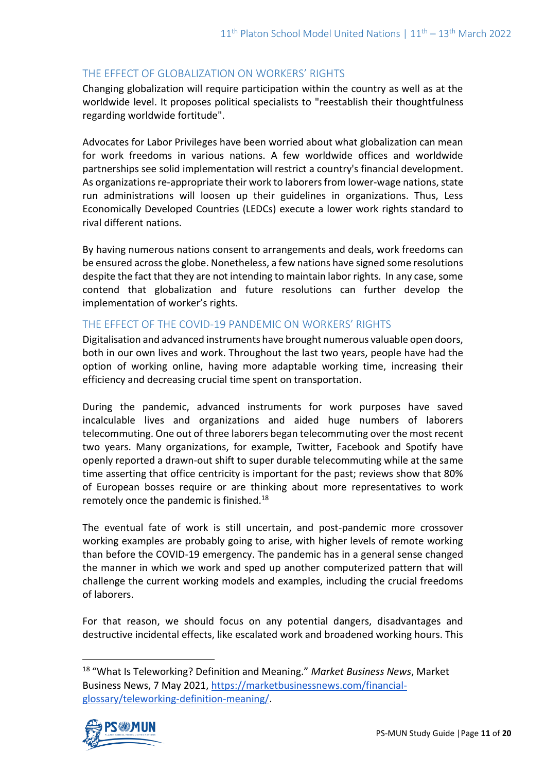### THE EFFECT OF GLOBALIZATION ON WORKERS' RIGHTS

Changing globalization will require participation within the country as well as at the worldwide level. It proposes political specialists to "reestablish their thoughtfulness regarding worldwide fortitude".

Advocates for Labor Privileges have been worried about what globalization can mean for work freedoms in various nations. A few worldwide offices and worldwide partnerships see solid implementation will restrict a country's financial development. As organizations re-appropriate their work to laborers from lower-wage nations, state run administrations will loosen up their guidelines in organizations. Thus, Less Economically Developed Countries (LEDCs) execute a lower work rights standard to rival different nations.

By having numerous nations consent to arrangements and deals, work freedoms can be ensured across the globe. Nonetheless, a few nations have signed some resolutions despite the fact that they are not intending to maintain labor rights. In any case, some contend that globalization and future resolutions can further develop the implementation of worker's rights.

## THE EFFECT OF THE COVID-19 PANDEMIC ON WORKERS' RIGHTS

Digitalisation and advanced instruments have brought numerous valuable open doors, both in our own lives and work. Throughout the last two years, people have had the option of working online, having more adaptable working time, increasing their efficiency and decreasing crucial time spent on transportation.

During the pandemic, advanced instruments for work purposes have saved incalculable lives and organizations and aided huge numbers of laborers telecommuting. One out of three laborers began telecommuting over the most recent two years. Many organizations, for example, Twitter, Facebook and Spotify have openly reported a drawn-out shift to super durable telecommuting while at the same time asserting that office centricity is important for the past; reviews show that 80% of European bosses require or are thinking about more representatives to work remotely once the pandemic is finished.<sup>18</sup>

The eventual fate of work is still uncertain, and post-pandemic more crossover working examples are probably going to arise, with higher levels of remote working than before the COVID-19 emergency. The pandemic has in a general sense changed the manner in which we work and sped up another computerized pattern that will challenge the current working models and examples, including the crucial freedoms of laborers.

For that reason, we should focus on any potential dangers, disadvantages and destructive incidental effects, like escalated work and broadened working hours. This

<sup>18</sup> "What Is Teleworking? Definition and Meaning." *Market Business News*, Market Business News, 7 May 2021, [https://marketbusinessnews.com/financial](https://marketbusinessnews.com/financial-glossary/teleworking-definition-meaning/)[glossary/teleworking-definition-meaning/.](https://marketbusinessnews.com/financial-glossary/teleworking-definition-meaning/)

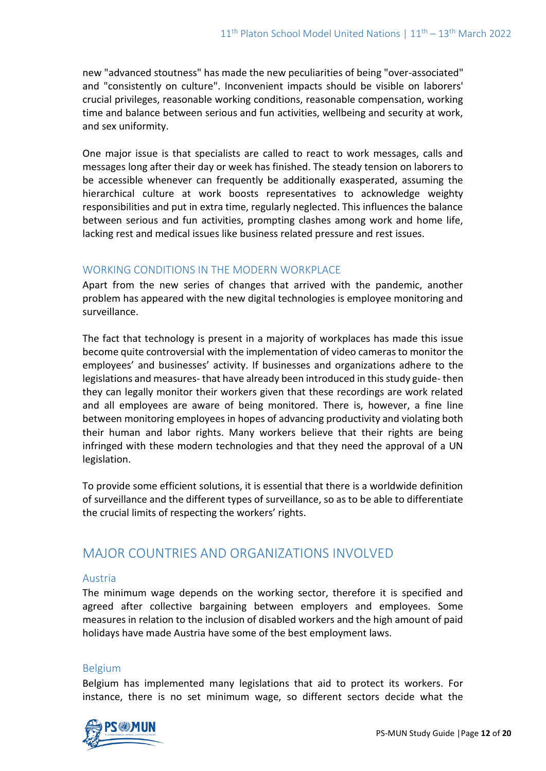new "advanced stoutness" has made the new peculiarities of being "over-associated" and "consistently on culture". Inconvenient impacts should be visible on laborers' crucial privileges, reasonable working conditions, reasonable compensation, working time and balance between serious and fun activities, wellbeing and security at work, and sex uniformity.

One major issue is that specialists are called to react to work messages, calls and messages long after their day or week has finished. The steady tension on laborers to be accessible whenever can frequently be additionally exasperated, assuming the hierarchical culture at work boosts representatives to acknowledge weighty responsibilities and put in extra time, regularly neglected. This influences the balance between serious and fun activities, prompting clashes among work and home life, lacking rest and medical issues like business related pressure and rest issues.

## WORKING CONDITIONS IN THE MODERN WORKPLACE

Apart from the new series of changes that arrived with the pandemic, another problem has appeared with the new digital technologies is employee monitoring and surveillance.

The fact that technology is present in a majority of workplaces has made this issue become quite controversial with the implementation of video cameras to monitor the employees' and businesses' activity. If businesses and organizations adhere to the legislations and measures- that have already been introduced in this study guide- then they can legally monitor their workers given that these recordings are work related and all employees are aware of being monitored. There is, however, a fine line between monitoring employees in hopes of advancing productivity and violating both their human and labor rights. Many workers believe that their rights are being infringed with these modern technologies and that they need the approval of a UN legislation.

To provide some efficient solutions, it is essential that there is a worldwide definition of surveillance and the different types of surveillance, so as to be able to differentiate the crucial limits of respecting the workers' rights.

## MAJOR COUNTRIES AND ORGANIZATIONS INVOLVED

#### Austria

The minimum wage depends on the working sector, therefore it is specified and agreed after collective bargaining between employers and employees. Some measures in relation to the inclusion of disabled workers and the high amount of paid holidays have made Austria have some of the best employment laws.

#### Belgium

Belgium has implemented many legislations that aid to protect its workers. For instance, there is no set minimum wage, so different sectors decide what the

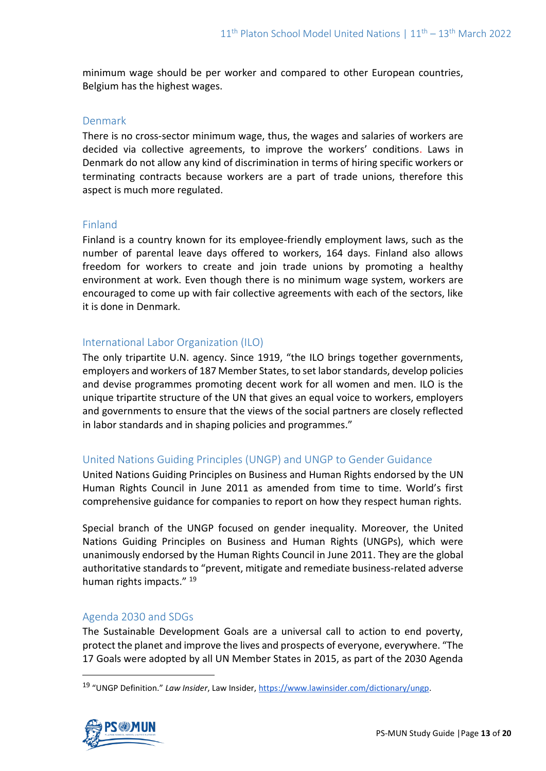minimum wage should be per worker and compared to other European countries, Belgium has the highest wages.

#### Denmark

There is no cross-sector minimum wage, thus, the wages and salaries of workers are decided via collective agreements, to improve the workers' conditions. Laws in Denmark do not allow any kind of discrimination in terms of hiring specific workers or terminating contracts because workers are a part of trade unions, therefore this aspect is much more regulated.

#### Finland

Finland is a country known for its employee-friendly employment laws, such as the number of parental leave days offered to workers, 164 days. Finland also allows freedom for workers to create and join trade unions by promoting a healthy environment at work. Even though there is no minimum wage system, workers are encouraged to come up with fair collective agreements with each of the sectors, like it is done in Denmark.

#### International Labor Organization (ILO)

The only tripartite U.N. agency. Since 1919, "the ILO brings together governments, employers and workers of 187 Member States, to set labor standards, develop policies and devise programmes promoting decent work for all women and men. ILO is the unique tripartite structure of the UN that gives an equal voice to workers, employers and governments to ensure that the views of the social partners are closely reflected in labor standards and in shaping policies and programmes."

## United Nations Guiding Principles (UNGP) and UNGP to Gender Guidance

United Nations Guiding Principles on Business and Human Rights endorsed by the UN Human Rights Council in June 2011 as amended from time to time. World's first comprehensive guidance for companies to report on how they respect human rights.

Special branch of the UNGP focused on gender inequality. Moreover, the United Nations Guiding Principles on Business and Human Rights (UNGPs), which were unanimously endorsed by the Human Rights Council in June 2011. They are the global authoritative standards to "prevent, mitigate and remediate business-related adverse human rights impacts." <sup>19</sup>

## Agenda 2030 and SDGs

The Sustainable Development Goals are a universal call to action to end poverty, protect the planet and improve the lives and prospects of everyone, everywhere. "The 17 Goals were adopted by all UN Member States in 2015, as part of the 2030 Agenda

<sup>19</sup> "UNGP Definition." *Law Insider*, Law Insider, [https://www.lawinsider.com/dictionary/ungp.](https://www.lawinsider.com/dictionary/ungp)

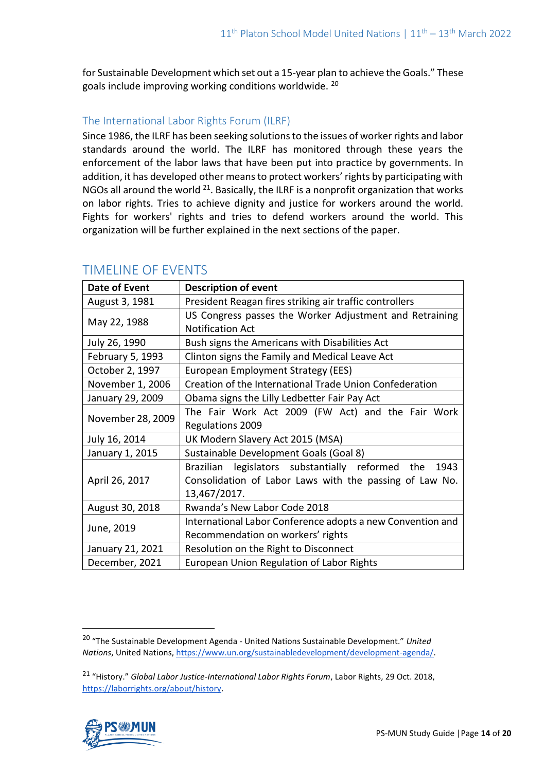for Sustainable Development which set out a 15-year plan to achieve the Goals." These goals include improving working conditions worldwide. <sup>20</sup>

## The International Labor Rights Forum (ILRF)

Since 1986, the ILRF has been seeking solutions to the issues of worker rights and labor standards around the world. The ILRF has monitored through these years the enforcement of the labor laws that have been put into practice by governments. In addition, it has developed other means to protect workers' rights by participating with NGOs all around the world <sup>21</sup>. Basically, the ILRF is a nonprofit organization that works on labor rights. Tries to achieve dignity and justice for workers around the world. Fights for workers' rights and tries to defend workers around the world. This organization will be further explained in the next sections of the paper.

| <b>Date of Event</b> | <b>Description of event</b>                                 |
|----------------------|-------------------------------------------------------------|
| August 3, 1981       | President Reagan fires striking air traffic controllers     |
| May 22, 1988         | US Congress passes the Worker Adjustment and Retraining     |
|                      | <b>Notification Act</b>                                     |
| July 26, 1990        | Bush signs the Americans with Disabilities Act              |
| February 5, 1993     | Clinton signs the Family and Medical Leave Act              |
| October 2, 1997      | European Employment Strategy (EES)                          |
| November 1, 2006     | Creation of the International Trade Union Confederation     |
| January 29, 2009     | Obama signs the Lilly Ledbetter Fair Pay Act                |
| November 28, 2009    | The Fair Work Act 2009 (FW Act) and the Fair Work           |
|                      | Regulations 2009                                            |
| July 16, 2014        | UK Modern Slavery Act 2015 (MSA)                            |
| January 1, 2015      | Sustainable Development Goals (Goal 8)                      |
| April 26, 2017       | legislators substantially reformed the<br>1943<br>Brazilian |
|                      | Consolidation of Labor Laws with the passing of Law No.     |
|                      | 13,467/2017.                                                |
| August 30, 2018      | Rwanda's New Labor Code 2018                                |
| June, 2019           | International Labor Conference adopts a new Convention and  |
|                      | Recommendation on workers' rights                           |
| January 21, 2021     | Resolution on the Right to Disconnect                       |
| December, 2021       | European Union Regulation of Labor Rights                   |

## TIMELINE OF EVENTS

<sup>21</sup> "History." *Global Labor Justice-International Labor Rights Forum*, Labor Rights, 29 Oct. 2018, [https://laborrights.org/about/history.](https://laborrights.org/about/history) 



<sup>20</sup> "The Sustainable Development Agenda - United Nations Sustainable Development." *United Nations*, United Nations, [https://www.un.org/sustainabledevelopment/development-agenda/.](https://www.un.org/sustainabledevelopment/development-agenda/)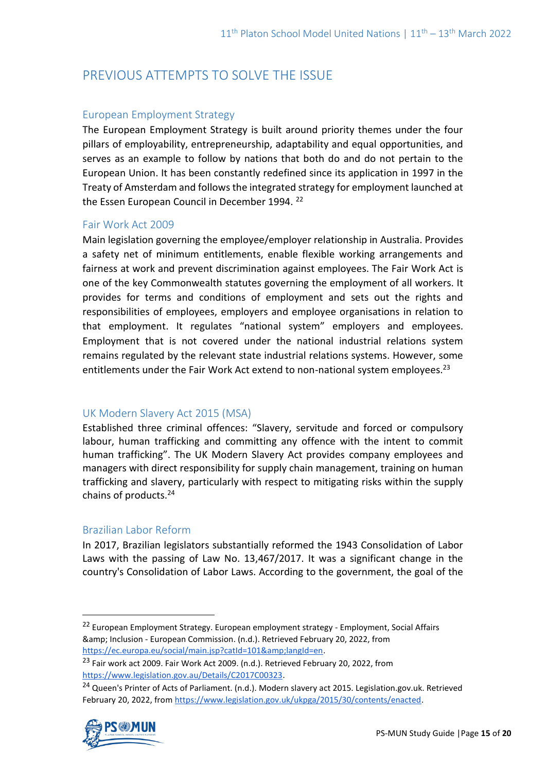# PREVIOUS ATTEMPTS TO SOLVE THE ISSUE

## European Employment Strategy

The European Employment Strategy is built around priority themes under the four pillars of employability, entrepreneurship, adaptability and equal opportunities, and serves as an example to follow by nations that both do and do not pertain to the European Union. It has been constantly redefined since its application in 1997 in the Treaty of Amsterdam and follows the integrated strategy for employment launched at the Essen European Council in December 1994.<sup>22</sup>

## Fair Work Act 2009

Main legislation governing the employee/employer relationship in Australia. Provides a safety net of minimum entitlements, enable flexible working arrangements and fairness at work and prevent discrimination against employees. The Fair Work Act is one of the key Commonwealth statutes governing the employment of all workers. It provides for terms and conditions of employment and sets out the rights and responsibilities of employees, employers and employee organisations in relation to that employment. It regulates "national system" employers and employees. Employment that is not covered under the national industrial relations system remains regulated by the relevant state industrial relations systems. However, some entitlements under the Fair Work Act extend to non-national system employees.<sup>23</sup>

## UK Modern Slavery Act 2015 (MSA)

Established three criminal offences: "Slavery, servitude and forced or compulsory labour, human trafficking and committing any offence with the intent to commit human trafficking". The UK Modern Slavery Act provides company employees and managers with direct responsibility for supply chain management, training on human trafficking and slavery, particularly with respect to mitigating risks within the supply chains of products.<sup>24</sup>

## Brazilian Labor Reform

In 2017, Brazilian legislators substantially reformed the 1943 Consolidation of Labor Laws with the passing of Law No. 13,467/2017. It was a significant change in the country's Consolidation of Labor Laws. According to the government, the goal of the

<sup>&</sup>lt;sup>24</sup> Queen's Printer of Acts of Parliament. (n.d.). Modern slavery act 2015. Legislation.gov.uk. Retrieved February 20, 2022, fro[m https://www.legislation.gov.uk/ukpga/2015/30/contents/enacted.](https://www.legislation.gov.uk/ukpga/2015/30/contents/enacted)



<sup>&</sup>lt;sup>22</sup> European Employment Strategy. European employment strategy - Employment, Social Affairs & Inclusion - European Commission. (n.d.). Retrieved February 20, 2022, from [https://ec.europa.eu/social/main.jsp?catId=101&langId=en.](https://ec.europa.eu/social/main.jsp?catId=101&langId=en)

<sup>&</sup>lt;sup>23</sup> Fair work act 2009. Fair Work Act 2009. (n.d.). Retrieved February 20, 2022, from [https://www.legislation.gov.au/Details/C2017C00323.](https://www.legislation.gov.au/Details/C2017C00323)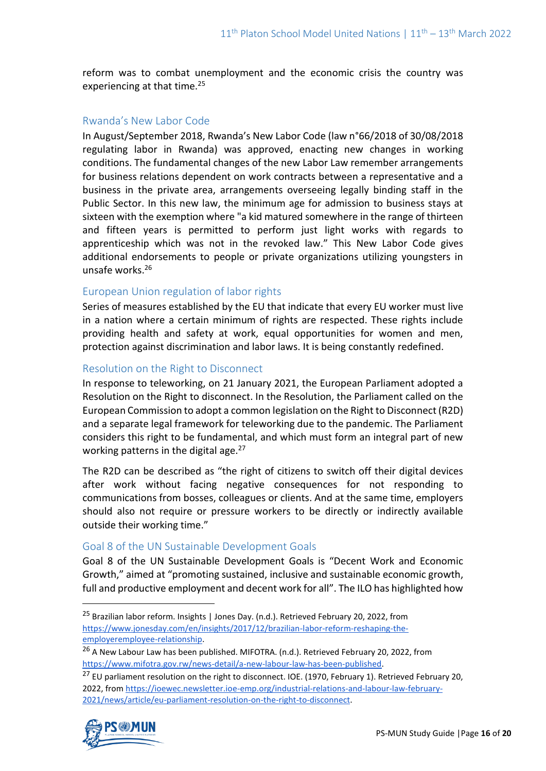reform was to combat unemployment and the economic crisis the country was experiencing at that time.<sup>25</sup>

#### Rwanda's New Labor Code

In August/September 2018, Rwanda's New Labor Code (law n°66/2018 of 30/08/2018 regulating labor in Rwanda) was approved, enacting new changes in working conditions. The fundamental changes of the new Labor Law remember arrangements for business relations dependent on work contracts between a representative and a business in the private area, arrangements overseeing legally binding staff in the Public Sector. In this new law, the minimum age for admission to business stays at sixteen with the exemption where "a kid matured somewhere in the range of thirteen and fifteen years is permitted to perform just light works with regards to apprenticeship which was not in the revoked law." This New Labor Code gives additional endorsements to people or private organizations utilizing youngsters in unsafe works.<sup>26</sup>

#### European Union regulation of labor rights

Series of measures established by the EU that indicate that every EU worker must live in a nation where a certain minimum of rights are respected. These rights include providing health and safety at work, equal opportunities for women and men, protection against discrimination and labor laws. It is being constantly redefined.

#### Resolution on the Right to Disconnect

In response to teleworking, on 21 January 2021, the European Parliament adopted a Resolution on the Right to disconnect. In the Resolution, the Parliament called on the European Commission to adopt a common legislation on the Right to Disconnect (R2D) and a separate legal framework for teleworking due to the pandemic. The Parliament considers this right to be fundamental, and which must form an integral part of new working patterns in the digital age. $27$ 

The R2D can be described as "the right of citizens to switch off their digital devices after work without facing negative consequences for not responding to communications from bosses, colleagues or clients. And at the same time, employers should also not require or pressure workers to be directly or indirectly available outside their working time."

#### Goal 8 of the UN Sustainable Development Goals

Goal 8 of the UN Sustainable Development Goals is "Decent Work and Economic Growth," aimed at "promoting sustained, inclusive and sustainable economic growth, full and productive employment and decent work for all". The ILO has highlighted how

<sup>&</sup>lt;sup>27</sup> EU parliament resolution on the right to disconnect. IOE. (1970, February 1). Retrieved February 20, 2022, from [https://ioewec.newsletter.ioe-emp.org/industrial-relations-and-labour-law-february-](https://ioewec.newsletter.ioe-emp.org/industrial-relations-and-labour-law-february-2021/news/article/eu-parliament-resolution-on-the-right-to-disconnect)[2021/news/article/eu-parliament-resolution-on-the-right-to-disconnect.](https://ioewec.newsletter.ioe-emp.org/industrial-relations-and-labour-law-february-2021/news/article/eu-parliament-resolution-on-the-right-to-disconnect)



<sup>&</sup>lt;sup>25</sup> Brazilian labor reform. Insights | Jones Day. (n.d.). Retrieved February 20, 2022, from [https://www.jonesday.com/en/insights/2017/12/brazilian-labor-reform-reshaping-the](https://www.jonesday.com/en/insights/2017/12/brazilian-labor-reform-reshaping-the-employeremployee-relationship)[employeremployee-relationship.](https://www.jonesday.com/en/insights/2017/12/brazilian-labor-reform-reshaping-the-employeremployee-relationship)

<sup>&</sup>lt;sup>26</sup> A New Labour Law has been published. MIFOTRA. (n.d.). Retrieved February 20, 2022, from [https://www.mifotra.gov.rw/news-detail/a-new-labour-law-has-been-published.](https://www.mifotra.gov.rw/news-detail/a-new-labour-law-has-been-published)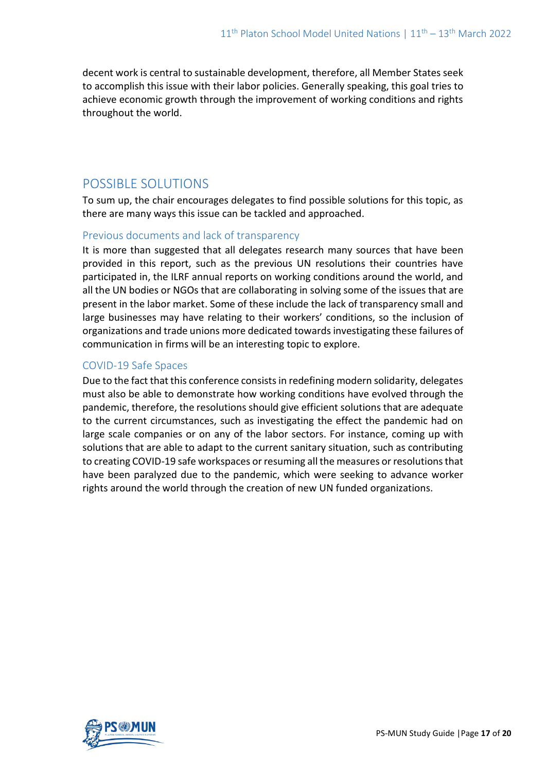decent work is central to sustainable development, therefore, all Member States seek to accomplish this issue with their labor policies. Generally speaking, this goal tries to achieve economic growth through the improvement of working conditions and rights throughout the world.

## POSSIBLE SOLUTIONS

To sum up, the chair encourages delegates to find possible solutions for this topic, as there are many ways this issue can be tackled and approached.

## Previous documents and lack of transparency

It is more than suggested that all delegates research many sources that have been provided in this report, such as the previous UN resolutions their countries have participated in, the ILRF annual reports on working conditions around the world, and all the UN bodies or NGOs that are collaborating in solving some of the issues that are present in the labor market. Some of these include the lack of transparency small and large businesses may have relating to their workers' conditions, so the inclusion of organizations and trade unions more dedicated towards investigating these failures of communication in firms will be an interesting topic to explore.

## COVID-19 Safe Spaces

Due to the fact that this conference consists in redefining modern solidarity, delegates must also be able to demonstrate how working conditions have evolved through the pandemic, therefore, the resolutions should give efficient solutions that are adequate to the current circumstances, such as investigating the effect the pandemic had on large scale companies or on any of the labor sectors. For instance, coming up with solutions that are able to adapt to the current sanitary situation, such as contributing to creating COVID-19 safe workspaces or resuming all the measures or resolutions that have been paralyzed due to the pandemic, which were seeking to advance worker rights around the world through the creation of new UN funded organizations.

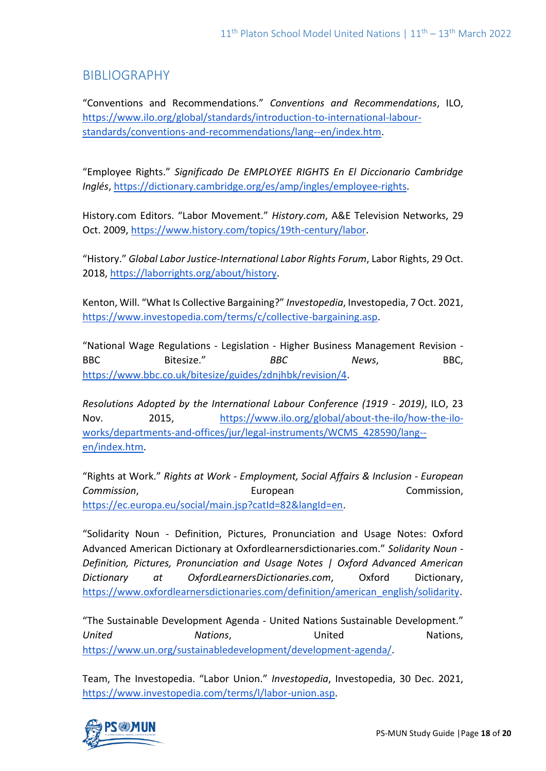## BIBLIOGRAPHY

"Conventions and Recommendations." *Conventions and Recommendations*, ILO, [https://www.ilo.org/global/standards/introduction-to-international-labour](https://www.ilo.org/global/standards/introduction-to-international-labour-standards/conventions-and-recommendations/lang--en/index.htm)[standards/conventions-and-recommendations/lang--en/index.htm.](https://www.ilo.org/global/standards/introduction-to-international-labour-standards/conventions-and-recommendations/lang--en/index.htm)

"Employee Rights." *Significado De EMPLOYEE RIGHTS En El Diccionario Cambridge Inglés*, [https://dictionary.cambridge.org/es/amp/ingles/employee-rights.](https://dictionary.cambridge.org/es/amp/ingles/employee-rights)

History.com Editors. "Labor Movement." *History.com*, A&E Television Networks, 29 Oct. 2009, [https://www.history.com/topics/19th-century/labor.](https://www.history.com/topics/19th-century/labor)

"History." *Global Labor Justice-International Labor Rights Forum*, Labor Rights, 29 Oct. 2018, [https://laborrights.org/about/history.](https://laborrights.org/about/history)

Kenton, Will. "What Is Collective Bargaining?" *Investopedia*, Investopedia, 7 Oct. 2021, [https://www.investopedia.com/terms/c/collective-bargaining.asp.](https://www.investopedia.com/terms/c/collective-bargaining.asp)

"National Wage Regulations - Legislation - Higher Business Management Revision - BBC Bitesize." BBC News, BBC, [https://www.bbc.co.uk/bitesize/guides/zdnjhbk/revision/4.](https://www.bbc.co.uk/bitesize/guides/zdnjhbk/revision/4)

*Resolutions Adopted by the International Labour Conference (1919 - 2019)*, ILO, 23 Nov. 2015, [https://www.ilo.org/global/about-the-ilo/how-the-ilo](https://www.ilo.org/global/about-the-ilo/how-the-ilo-works/departments-and-offices/jur/legal-instruments/WCMS_428590/lang--en/index.htm)[works/departments-and-offices/jur/legal-instruments/WCMS\\_428590/lang-](https://www.ilo.org/global/about-the-ilo/how-the-ilo-works/departments-and-offices/jur/legal-instruments/WCMS_428590/lang--en/index.htm) [en/index.htm.](https://www.ilo.org/global/about-the-ilo/how-the-ilo-works/departments-and-offices/jur/legal-instruments/WCMS_428590/lang--en/index.htm)

"Rights at Work." *Rights at Work - Employment, Social Affairs & Inclusion - European*  **Commission, Commission, European** European Commission, [https://ec.europa.eu/social/main.jsp?catId=82&langId=en.](https://ec.europa.eu/social/main.jsp?catId=82&langId=en)

"Solidarity Noun - Definition, Pictures, Pronunciation and Usage Notes: Oxford Advanced American Dictionary at Oxfordlearnersdictionaries.com." *Solidarity Noun - Definition, Pictures, Pronunciation and Usage Notes | Oxford Advanced American Dictionary at OxfordLearnersDictionaries.com*, Oxford Dictionary, [https://www.oxfordlearnersdictionaries.com/definition/american\\_english/solidarity.](https://www.oxfordlearnersdictionaries.com/definition/american_english/solidarity)

"The Sustainable Development Agenda - United Nations Sustainable Development." *United Nations*, United Nations, [https://www.un.org/sustainabledevelopment/development-agenda/.](https://www.un.org/sustainabledevelopment/development-agenda/)

Team, The Investopedia. "Labor Union." *Investopedia*, Investopedia, 30 Dec. 2021, [https://www.investopedia.com/terms/l/labor-union.asp.](https://www.investopedia.com/terms/l/labor-union.asp)

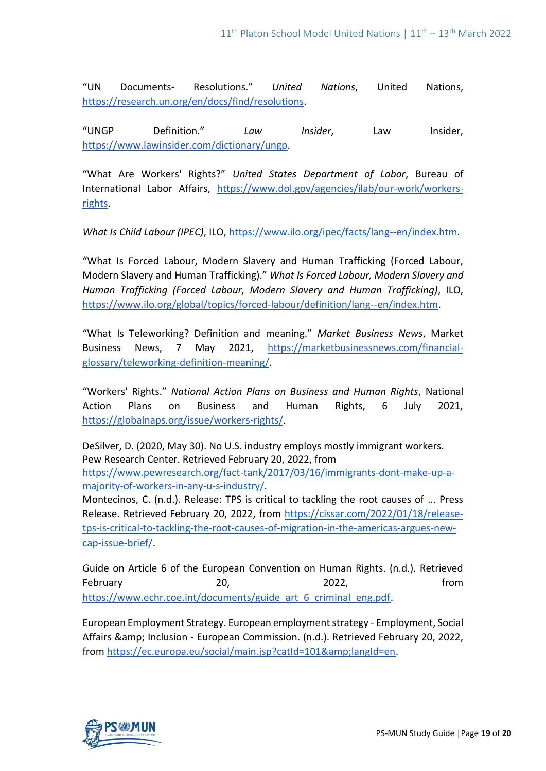"UN Documents- Resolutions." *United Nations*, United Nations, [https://research.un.org/en/docs/find/resolutions.](https://research.un.org/en/docs/find/resolutions)

"UNGP Definition." *Law Insider*, Law Insider, [https://www.lawinsider.com/dictionary/ungp.](https://www.lawinsider.com/dictionary/ungp)

"What Are Workers' Rights?" *United States Department of Labor*, Bureau of International Labor Affairs, [https://www.dol.gov/agencies/ilab/our-work/workers](https://www.dol.gov/agencies/ilab/our-work/workers-rights)[rights.](https://www.dol.gov/agencies/ilab/our-work/workers-rights)

*What Is Child Labour (IPEC)*, ILO, [https://www.ilo.org/ipec/facts/lang--en/index.htm.](https://www.ilo.org/ipec/facts/lang--en/index.htm)

"What Is Forced Labour, Modern Slavery and Human Trafficking (Forced Labour, Modern Slavery and Human Trafficking)." *What Is Forced Labour, Modern Slavery and Human Trafficking (Forced Labour, Modern Slavery and Human Trafficking)*, ILO, [https://www.ilo.org/global/topics/forced-labour/definition/lang--en/index.htm.](https://www.ilo.org/global/topics/forced-labour/definition/lang--en/index.htm)

"What Is Teleworking? Definition and meaning." *Market Business News*, Market Business News, 7 May 2021, [https://marketbusinessnews.com/financial](https://marketbusinessnews.com/financial-glossary/teleworking-definition-meaning/)[glossary/teleworking-definition-meaning/.](https://marketbusinessnews.com/financial-glossary/teleworking-definition-meaning/)

"Workers' Rights." *National Action Plans on Business and Human Rights*, National Action Plans on Business and Human Rights, 6 July 2021, [https://globalnaps.org/issue/workers-rights/.](https://globalnaps.org/issue/workers-rights/)

DeSilver, D. (2020, May 30). No U.S. industry employs mostly immigrant workers. Pew Research Center. Retrieved February 20, 2022, from [https://www.pewresearch.org/fact-tank/2017/03/16/immigrants-dont-make-up-a-](https://www.pewresearch.org/fact-tank/2017/03/16/immigrants-dont-make-up-a-majority-of-workers-in-any-u-s-industry/)

[majority-of-workers-in-any-u-s-industry/.](https://www.pewresearch.org/fact-tank/2017/03/16/immigrants-dont-make-up-a-majority-of-workers-in-any-u-s-industry/)

Montecinos, C. (n.d.). Release: TPS is critical to tackling the root causes of ... Press Release. Retrieved February 20, 2022, from [https://cissar.com/2022/01/18/release](https://cissar.com/2022/01/18/release-tps-is-critical-to-tackling-the-root-causes-of-migration-in-the-americas-argues-new-cap-issue-brief/)[tps-is-critical-to-tackling-the-root-causes-of-migration-in-the-americas-argues-new](https://cissar.com/2022/01/18/release-tps-is-critical-to-tackling-the-root-causes-of-migration-in-the-americas-argues-new-cap-issue-brief/)[cap-issue-brief/.](https://cissar.com/2022/01/18/release-tps-is-critical-to-tackling-the-root-causes-of-migration-in-the-americas-argues-new-cap-issue-brief/)

Guide on Article 6 of the European Convention on Human Rights. (n.d.). Retrieved February 20, 2022, February 20, 2022, From [https://www.echr.coe.int/documents/guide\\_art\\_6\\_criminal\\_eng.pdf.](https://www.echr.coe.int/documents/guide_art_6_criminal_eng.pdf)

European Employment Strategy. European employment strategy - Employment, Social Affairs & Inclusion - European Commission. (n.d.). Retrieved February 20, 2022, from [https://ec.europa.eu/social/main.jsp?catId=101&langId=en.](https://ec.europa.eu/social/main.jsp?catId=101&langId=en)